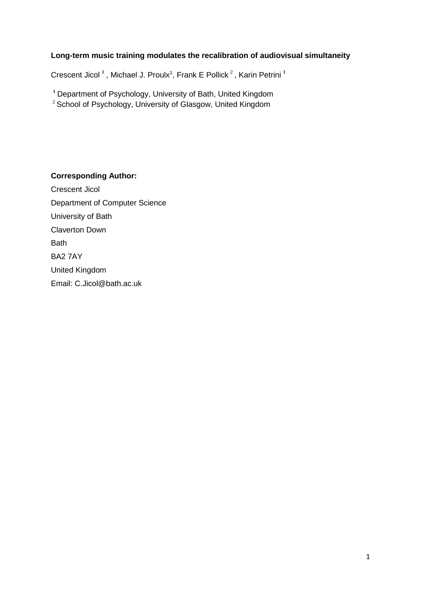## **Long-term music training modulates the recalibration of audiovisual simultaneity**

Crescent Jicol<sup>1</sup>, Michael J. Proulx<sup>1</sup>, Frank E Pollick<sup>2</sup>, Karin Petrini<sup>1</sup>

<sup>1</sup> Department of Psychology, University of Bath, United Kingdom

 $2$  School of Psychology, University of Glasgow, United Kingdom

**Corresponding Author:**

Crescent Jicol Department of Computer Science University of Bath Claverton Down **Bath** BA2 7AY United Kingdom Email: C.Jicol@bath.ac.uk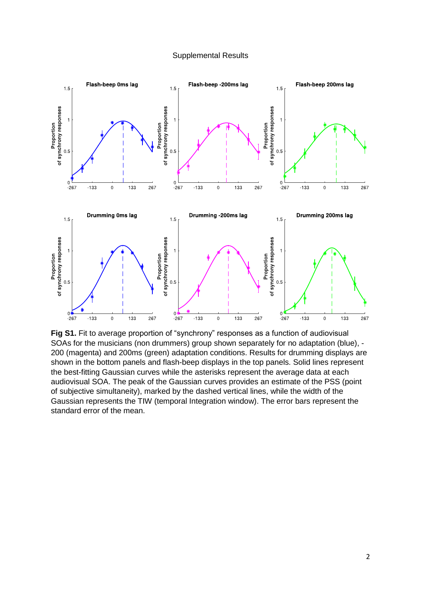## Supplemental Results



**Fig S1.** Fit to average proportion of "synchrony" responses as a function of audiovisual SOAs for the musicians (non drummers) group shown separately for no adaptation (blue), - 200 (magenta) and 200ms (green) adaptation conditions. Results for drumming displays are shown in the bottom panels and flash-beep displays in the top panels. Solid lines represent the best-fitting Gaussian curves while the asterisks represent the average data at each audiovisual SOA. The peak of the Gaussian curves provides an estimate of the PSS (point of subjective simultaneity), marked by the dashed vertical lines, while the width of the Gaussian represents the TIW (temporal Integration window). The error bars represent the standard error of the mean.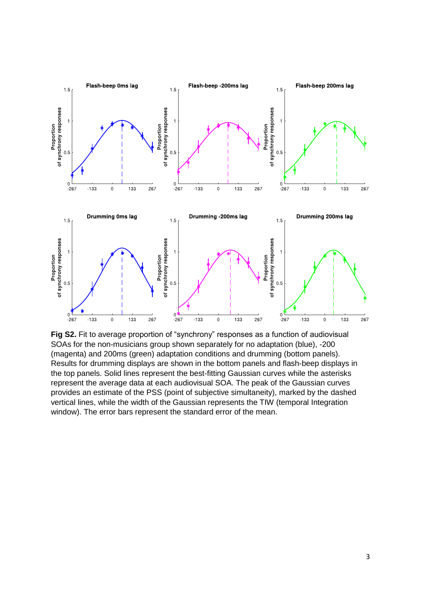

**Fig S2.** Fit to average proportion of "synchrony" responses as a function of audiovisual SOAs for the non-musicians group shown separately for no adaptation (blue), -200 (magenta) and 200ms (green) adaptation conditions and drumming (bottom panels). Results for drumming displays are shown in the bottom panels and flash-beep displays in the top panels. Solid lines represent the best-fitting Gaussian curves while the asterisks represent the average data at each audiovisual SOA. The peak of the Gaussian curves provides an estimate of the PSS (point of subjective simultaneity), marked by the dashed vertical lines, while the width of the Gaussian represents the TIW (temporal Integration window). The error bars represent the standard error of the mean.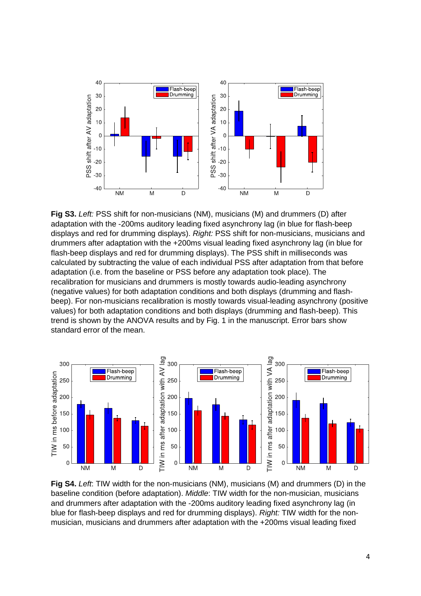

**Fig S3.** *Left:* PSS shift for non-musicians (NM), musicians (M) and drummers (D) after adaptation with the -200ms auditory leading fixed asynchrony lag (in blue for flash-beep displays and red for drumming displays). *Right:* PSS shift for non-musicians, musicians and drummers after adaptation with the +200ms visual leading fixed asynchrony lag (in blue for flash-beep displays and red for drumming displays). The PSS shift in milliseconds was calculated by subtracting the value of each individual PSS after adaptation from that before adaptation (i.e. from the baseline or PSS before any adaptation took place). The recalibration for musicians and drummers is mostly towards audio-leading asynchrony (negative values) for both adaptation conditions and both displays (drumming and flashbeep). For non-musicians recalibration is mostly towards visual-leading asynchrony (positive values) for both adaptation conditions and both displays (drumming and flash-beep). This trend is shown by the ANOVA results and by Fig. 1 in the manuscript. Error bars show standard error of the mean.



**Fig S4.** *Left*: TIW width for the non-musicians (NM), musicians (M) and drummers (D) in the baseline condition (before adaptation). *Middle*: TIW width for the non-musician, musicians and drummers after adaptation with the -200ms auditory leading fixed asynchrony lag (in blue for flash-beep displays and red for drumming displays). *Right:* TIW width for the nonmusician, musicians and drummers after adaptation with the +200ms visual leading fixed